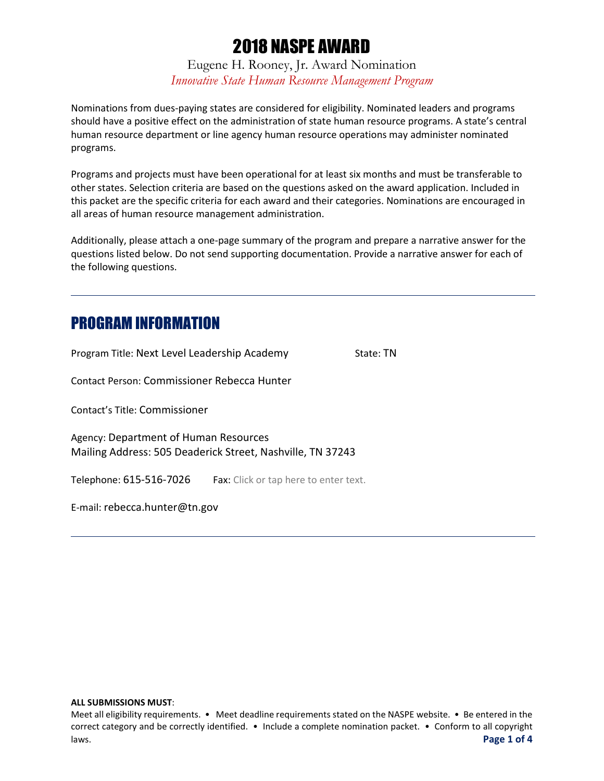Eugene H. Rooney, Jr. Award Nomination *Innovative State Human Resource Management Program*

Nominations from dues-paying states are considered for eligibility. Nominated leaders and programs should have a positive effect on the administration of state human resource programs. A state's central human resource department or line agency human resource operations may administer nominated programs.

Programs and projects must have been operational for at least six months and must be transferable to other states. Selection criteria are based on the questions asked on the award application. Included in this packet are the specific criteria for each award and their categories. Nominations are encouraged in all areas of human resource management administration.

Additionally, please attach a one-page summary of the program and prepare a narrative answer for the questions listed below. Do not send supporting documentation. Provide a narrative answer for each of the following questions.

## PROGRAM INFORMATION

Program Title: Next Level Leadership Academy State: TN

Contact Person: Commissioner Rebecca Hunter

Contact's Title: Commissioner

Agency: Department of Human Resources Mailing Address: 505 Deaderick Street, Nashville, TN 37243

Telephone: 615-516-7026 Fax: Click or tap here to enter text.

E-mail: rebecca.hunter@tn.gov

#### **ALL SUBMISSIONS MUST**:

Meet all eligibility requirements. • Meet deadline requirements stated on the NASPE website. • Be entered in the correct category and be correctly identified. • Include a complete nomination packet. • Conform to all copyright laws. **Page 1 of 4**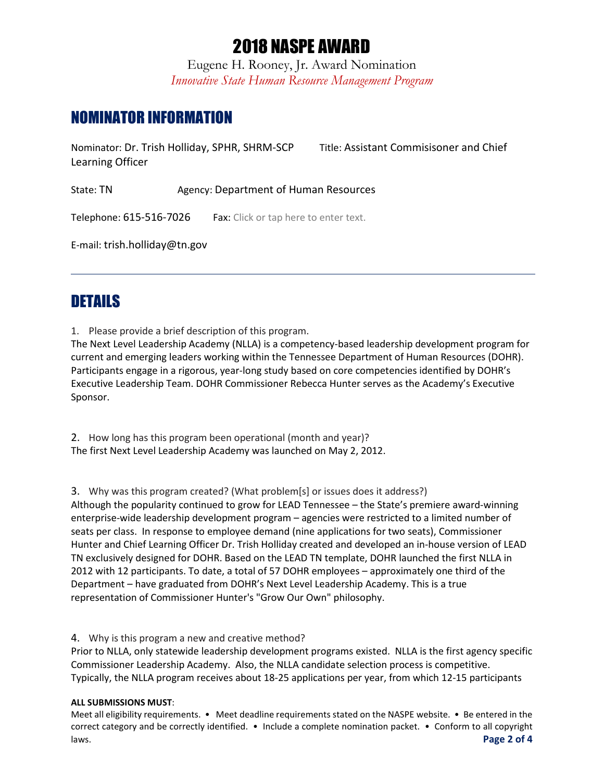Eugene H. Rooney, Jr. Award Nomination *Innovative State Human Resource Management Program*

## NOMINATOR INFORMATION

Nominator: Dr. Trish Holliday, SPHR, SHRM-SCP Title: Assistant Commisisoner and Chief Learning Officer

State: TN Agency: Department of Human Resources

Telephone: 615-516-7026 Fax: Click or tap here to enter text.

E-mail: trish.holliday@tn.gov

## DETAILS

1. Please provide a brief description of this program.

The Next Level Leadership Academy (NLLA) is a competency-based leadership development program for current and emerging leaders working within the Tennessee Department of Human Resources (DOHR). Participants engage in a rigorous, year-long study based on core competencies identified by DOHR's Executive Leadership Team. DOHR Commissioner Rebecca Hunter serves as the Academy's Executive Sponsor.

2. How long has this program been operational (month and year)? The first Next Level Leadership Academy was launched on May 2, 2012.

3. Why was this program created? (What problem[s] or issues does it address?)

Although the popularity continued to grow for LEAD Tennessee – the State's premiere award-winning enterprise-wide leadership development program – agencies were restricted to a limited number of seats per class. In response to employee demand (nine applications for two seats), Commissioner Hunter and Chief Learning Officer Dr. Trish Holliday created and developed an in-house version of LEAD TN exclusively designed for DOHR. Based on the LEAD TN template, DOHR launched the first NLLA in 2012 with 12 participants. To date, a total of 57 DOHR employees – approximately one third of the Department – have graduated from DOHR's Next Level Leadership Academy. This is a true representation of Commissioner Hunter's "Grow Our Own" philosophy.

#### 4. Why is this program a new and creative method?

Prior to NLLA, only statewide leadership development programs existed. NLLA is the first agency specific Commissioner Leadership Academy. Also, the NLLA candidate selection process is competitive. Typically, the NLLA program receives about 18-25 applications per year, from which 12-15 participants

#### **ALL SUBMISSIONS MUST**:

Meet all eligibility requirements. • Meet deadline requirements stated on the NASPE website. • Be entered in the correct category and be correctly identified. • Include a complete nomination packet. • Conform to all copyright laws. **Page 2 of 4**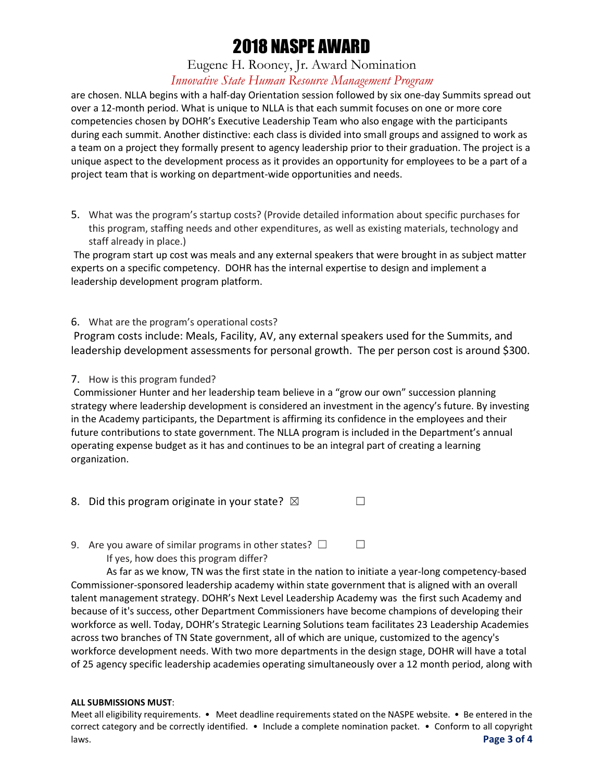### Eugene H. Rooney, Jr. Award Nomination *Innovative State Human Resource Management Program*

are chosen. NLLA begins with a half-day Orientation session followed by six one-day Summits spread out over a 12-month period. What is unique to NLLA is that each summit focuses on one or more core competencies chosen by DOHR's Executive Leadership Team who also engage with the participants during each summit. Another distinctive: each class is divided into small groups and assigned to work as a team on a project they formally present to agency leadership prior to their graduation. The project is a unique aspect to the development process as it provides an opportunity for employees to be a part of a project team that is working on department-wide opportunities and needs.

5. What was the program's startup costs? (Provide detailed information about specific purchases for this program, staffing needs and other expenditures, as well as existing materials, technology and staff already in place.)

The program start up cost was meals and any external speakers that were brought in as subject matter experts on a specific competency. DOHR has the internal expertise to design and implement a leadership development program platform.

6. What are the program's operational costs?

Program costs include: Meals, Facility, AV, any external speakers used for the Summits, and leadership development assessments for personal growth. The per person cost is around \$300.

#### 7. How is this program funded?

Commissioner Hunter and her leadership team believe in a "grow our own" succession planning strategy where leadership development is considered an investment in the agency's future. By investing in the Academy participants, the Department is affirming its confidence in the employees and their future contributions to state government. The NLLA program is included in the Department's annual operating expense budget as it has and continues to be an integral part of creating a learning organization.

- 8. Did this program originate in your state?  $\boxtimes$
- 9. Are you aware of similar programs in other states?  $\Box$ If yes, how does this program differ?

As far as we know, TN was the first state in the nation to initiate a year-long competency-based Commissioner-sponsored leadership academy within state government that is aligned with an overall talent management strategy. DOHR's Next Level Leadership Academy was the first such Academy and because of it's success, other Department Commissioners have become champions of developing their workforce as well. Today, DOHR's Strategic Learning Solutions team facilitates 23 Leadership Academies across two branches of TN State government, all of which are unique, customized to the agency's workforce development needs. With two more departments in the design stage, DOHR will have a total of 25 agency specific leadership academies operating simultaneously over a 12 month period, along with

#### **ALL SUBMISSIONS MUST**:

Meet all eligibility requirements. • Meet deadline requirements stated on the NASPE website. • Be entered in the correct category and be correctly identified. • Include a complete nomination packet. • Conform to all copyright laws. **Page 3 of 4**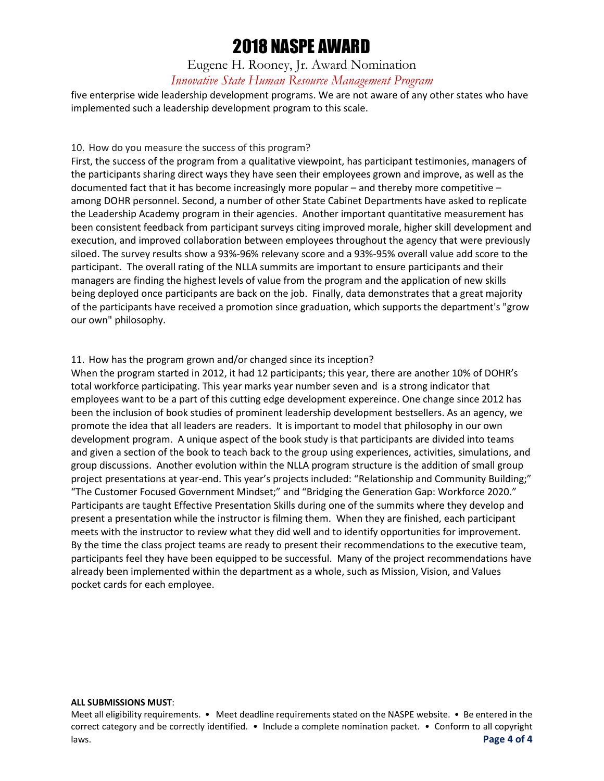Eugene H. Rooney, Jr. Award Nomination *Innovative State Human Resource Management Program*

five enterprise wide leadership development programs. We are not aware of any other states who have implemented such a leadership development program to this scale.

#### 10. How do you measure the success of this program?

First, the success of the program from a qualitative viewpoint, has participant testimonies, managers of the participants sharing direct ways they have seen their employees grown and improve, as well as the documented fact that it has become increasingly more popular – and thereby more competitive – among DOHR personnel. Second, a number of other State Cabinet Departments have asked to replicate the Leadership Academy program in their agencies. Another important quantitative measurement has been consistent feedback from participant surveys citing improved morale, higher skill development and execution, and improved collaboration between employees throughout the agency that were previously siloed. The survey results show a 93%-96% relevany score and a 93%-95% overall value add score to the participant. The overall rating of the NLLA summits are important to ensure participants and their managers are finding the highest levels of value from the program and the application of new skills being deployed once participants are back on the job. Finally, data demonstrates that a great majority of the participants have received a promotion since graduation, which supports the department's "grow our own" philosophy.

#### 11. How has the program grown and/or changed since its inception?

When the program started in 2012, it had 12 participants; this year, there are another 10% of DOHR's total workforce participating. This year marks year number seven and is a strong indicator that employees want to be a part of this cutting edge development expereince. One change since 2012 has been the inclusion of book studies of prominent leadership development bestsellers. As an agency, we promote the idea that all leaders are readers. It is important to model that philosophy in our own development program. A unique aspect of the book study is that participants are divided into teams and given a section of the book to teach back to the group using experiences, activities, simulations, and group discussions. Another evolution within the NLLA program structure is the addition of small group project presentations at year-end. This year's projects included: "Relationship and Community Building;" "The Customer Focused Government Mindset;" and "Bridging the Generation Gap: Workforce 2020." Participants are taught Effective Presentation Skills during one of the summits where they develop and present a presentation while the instructor is filming them. When they are finished, each participant meets with the instructor to review what they did well and to identify opportunities for improvement. By the time the class project teams are ready to present their recommendations to the executive team, participants feel they have been equipped to be successful. Many of the project recommendations have already been implemented within the department as a whole, such as Mission, Vision, and Values pocket cards for each employee.

#### **ALL SUBMISSIONS MUST**:

Meet all eligibility requirements. • Meet deadline requirements stated on the NASPE website. • Be entered in the correct category and be correctly identified. • Include a complete nomination packet. • Conform to all copyright laws. **Page 4 of 4**